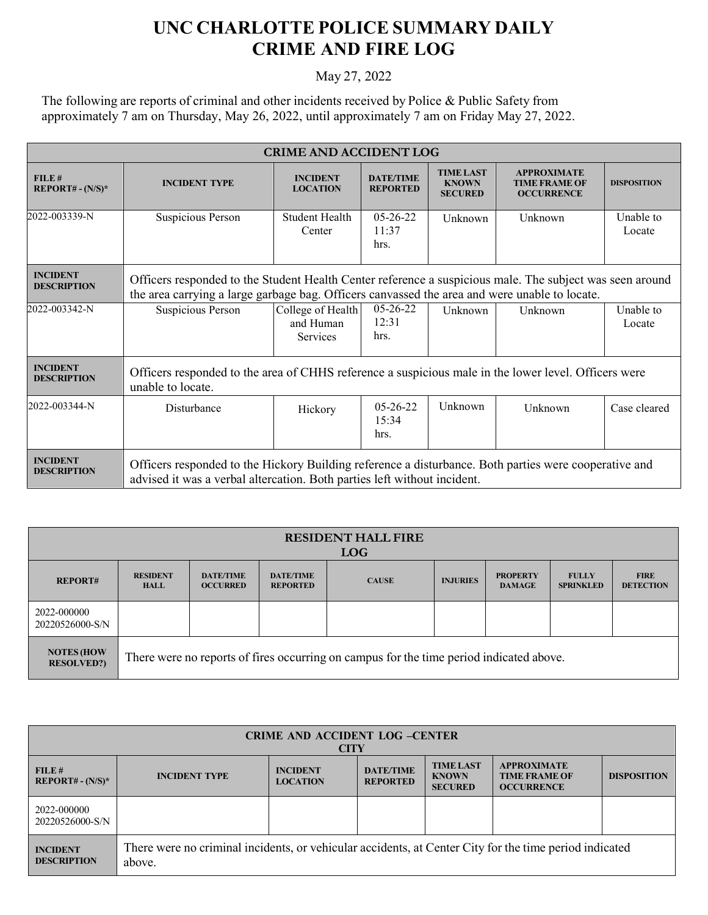## **UNC CHARLOTTE POLICE SUMMARY DAILY CRIME AND FIRE LOG**

## May 27, 2022

The following are reports of criminal and other incidents received by Police & Public Safety from approximately 7 am on Thursday, May 26, 2022, until approximately 7 am on Friday May 27, 2022.

| <b>CRIME AND ACCIDENT LOG</b>         |                                                                                                                                                                                                           |                                                   |                                     |                                                    |                                                                 |                     |  |
|---------------------------------------|-----------------------------------------------------------------------------------------------------------------------------------------------------------------------------------------------------------|---------------------------------------------------|-------------------------------------|----------------------------------------------------|-----------------------------------------------------------------|---------------------|--|
| FILE#<br>$REPORT# - (N/S)*$           | <b>INCIDENT TYPE</b>                                                                                                                                                                                      | <b>INCIDENT</b><br><b>LOCATION</b>                | <b>DATE/TIME</b><br><b>REPORTED</b> | <b>TIME LAST</b><br><b>KNOWN</b><br><b>SECURED</b> | <b>APPROXIMATE</b><br><b>TIME FRAME OF</b><br><b>OCCURRENCE</b> | <b>DISPOSITION</b>  |  |
| 2022-003339-N                         | Suspicious Person                                                                                                                                                                                         | Student Health<br>Center                          | $05-26-22$<br>11:37<br>hrs.         | Unknown                                            | Unknown                                                         | Unable to<br>Locate |  |
| <b>INCIDENT</b><br><b>DESCRIPTION</b> | Officers responded to the Student Health Center reference a suspicious male. The subject was seen around<br>the area carrying a large garbage bag. Officers canvassed the area and were unable to locate. |                                                   |                                     |                                                    |                                                                 |                     |  |
| 2022-003342-N                         | Suspicious Person                                                                                                                                                                                         | College of Health<br>and Human<br><b>Services</b> | $05-26-22$<br>12:31<br>hrs.         | Unknown                                            | Unknown                                                         | Unable to<br>Locate |  |
| <b>INCIDENT</b><br><b>DESCRIPTION</b> | Officers responded to the area of CHHS reference a suspicious male in the lower level. Officers were<br>unable to locate.                                                                                 |                                                   |                                     |                                                    |                                                                 |                     |  |
| 2022-003344-N                         | Disturbance                                                                                                                                                                                               | Hickory                                           | $05 - 26 - 22$<br>15:34<br>hrs.     | Unknown                                            | Unknown                                                         | Case cleared        |  |
| <b>INCIDENT</b><br><b>DESCRIPTION</b> | Officers responded to the Hickory Building reference a disturbance. Both parties were cooperative and<br>advised it was a verbal altercation. Both parties left without incident.                         |                                                   |                                     |                                                    |                                                                 |                     |  |

| <b>RESIDENT HALL FIRE</b><br><b>LOG</b> |                                                                                         |                                     |                                     |              |                 |                                  |                                  |                                 |
|-----------------------------------------|-----------------------------------------------------------------------------------------|-------------------------------------|-------------------------------------|--------------|-----------------|----------------------------------|----------------------------------|---------------------------------|
| <b>REPORT#</b>                          | <b>RESIDENT</b><br><b>HALL</b>                                                          | <b>DATE/TIME</b><br><b>OCCURRED</b> | <b>DATE/TIME</b><br><b>REPORTED</b> | <b>CAUSE</b> | <b>INJURIES</b> | <b>PROPERTY</b><br><b>DAMAGE</b> | <b>FULLY</b><br><b>SPRINKLED</b> | <b>FIRE</b><br><b>DETECTION</b> |
| 2022-000000<br>20220526000-S/N          |                                                                                         |                                     |                                     |              |                 |                                  |                                  |                                 |
| <b>NOTES (HOW</b><br><b>RESOLVED?)</b>  | There were no reports of fires occurring on campus for the time period indicated above. |                                     |                                     |              |                 |                                  |                                  |                                 |

| <b>CRIME AND ACCIDENT LOG -CENTER</b><br><b>CITY</b> |                                                                                                                  |                                    |                                     |                                                    |                                                                 |                    |  |
|------------------------------------------------------|------------------------------------------------------------------------------------------------------------------|------------------------------------|-------------------------------------|----------------------------------------------------|-----------------------------------------------------------------|--------------------|--|
| FILE#<br>$REPORT# - (N/S)^*$                         | <b>INCIDENT TYPE</b>                                                                                             | <b>INCIDENT</b><br><b>LOCATION</b> | <b>DATE/TIME</b><br><b>REPORTED</b> | <b>TIME LAST</b><br><b>KNOWN</b><br><b>SECURED</b> | <b>APPROXIMATE</b><br><b>TIME FRAME OF</b><br><b>OCCURRENCE</b> | <b>DISPOSITION</b> |  |
| 2022-000000<br>20220526000-S/N                       |                                                                                                                  |                                    |                                     |                                                    |                                                                 |                    |  |
| <b>INCIDENT</b><br><b>DESCRIPTION</b>                | There were no criminal incidents, or vehicular accidents, at Center City for the time period indicated<br>above. |                                    |                                     |                                                    |                                                                 |                    |  |